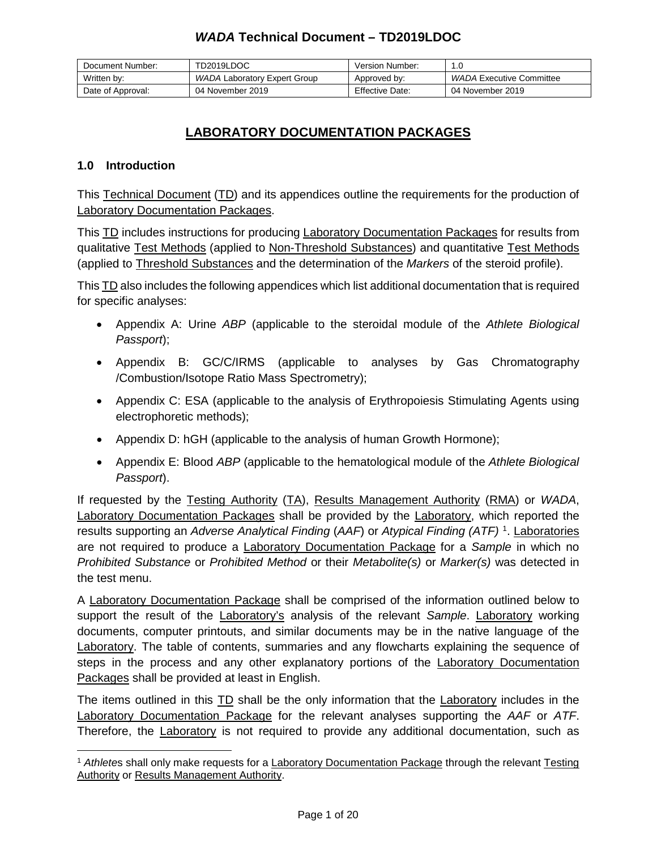| Document Number:  | TD2019LDOC                   | Version Number: |                          |
|-------------------|------------------------------|-----------------|--------------------------|
| Written by:       | WADA Laboratory Expert Group | Approved by:    | WADA Executive Committee |
| Date of Approval: | 04 November 2019             | Effective Date: | 04 November 2019         |

# **LABORATORY DOCUMENTATION PACKAGES**

### **1.0 Introduction**

This Technical Document (TD) and its appendices outline the requirements for the production of Laboratory Documentation Packages.

This TD includes instructions for producing Laboratory Documentation Packages for results from qualitative Test Methods (applied to Non-Threshold Substances) and quantitative Test Methods (applied to Threshold Substances and the determination of the *Markers* of the steroid profile).

This TD also includes the following appendices which list additional documentation that is required for specific analyses:

- Appendix A: Urine *ABP* (applicable to the steroidal module of the *Athlete Biological Passport*);
- Appendix B: GC/C/IRMS (applicable to analyses by Gas Chromatography /Combustion/Isotope Ratio Mass Spectrometry);
- Appendix C: ESA (applicable to the analysis of Erythropoiesis Stimulating Agents using electrophoretic methods);
- Appendix D: hGH (applicable to the analysis of human Growth Hormone);
- Appendix E: Blood *ABP* (applicable to the hematological module of the *Athlete Biological Passport*).

If requested by the Testing Authority (TA), Results Management Authority (RMA) or *WADA*, Laboratory Documentation Packages shall be provided by the Laboratory, which reported the results supporting an *Adverse Analytical Finding* (*AAF*) or *Atypical Finding (ATF)* [1](#page-0-0) . Laboratories are not required to produce a Laboratory Documentation Package for a *Sample* in which no *Prohibited Substance* or *Prohibited Method* or their *Metabolite(s)* or *Marker(s)* was detected in the test menu.

A Laboratory Documentation Package shall be comprised of the information outlined below to support the result of the Laboratory's analysis of the relevant *Sample*. Laboratory working documents, computer printouts, and similar documents may be in the native language of the Laboratory. The table of contents, summaries and any flowcharts explaining the sequence of steps in the process and any other explanatory portions of the Laboratory Documentation Packages shall be provided at least in English.

The items outlined in this **TD** shall be the only information that the Laboratory includes in the Laboratory Documentation Package for the relevant analyses supporting the *AAF* or *ATF*. Therefore, the Laboratory is not required to provide any additional documentation, such as

<span id="page-0-0"></span> $\overline{a}$ <sup>1</sup> *Athlete*s shall only make requests for a Laboratory Documentation Package through the relevant Testing Authority or Results Management Authority.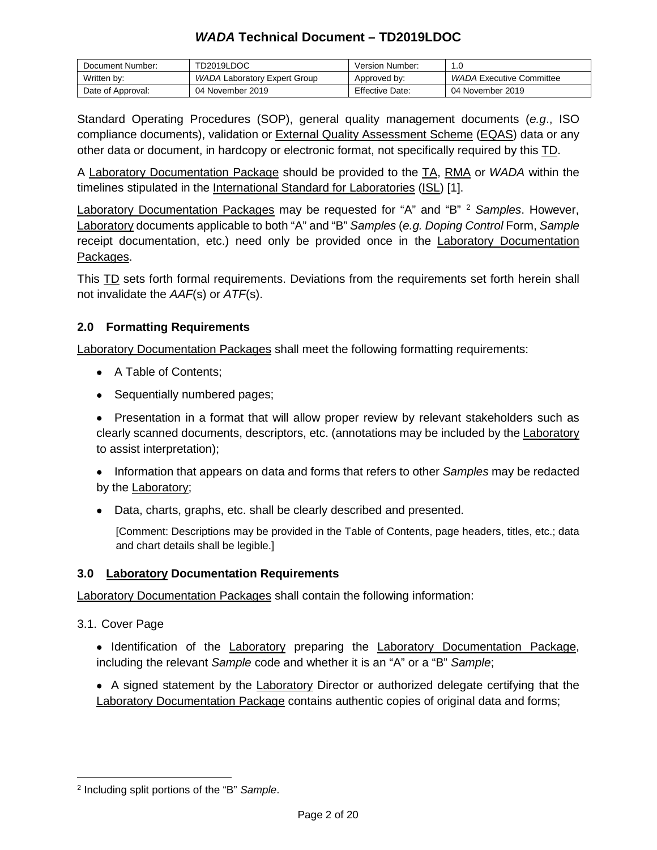| Document Number:  | TD2019LDOC                   | Version Number: |                          |
|-------------------|------------------------------|-----------------|--------------------------|
| Written by:       | WADA Laboratory Expert Group | Approved by:    | WADA Executive Committee |
| Date of Approval: | 04 November 2019             | Effective Date: | 04 November 2019         |

Standard Operating Procedures (SOP), general quality management documents (*e.g*., ISO compliance documents), validation or **External Quality Assessment Scheme (EQAS)** data or any other data or document, in hardcopy or electronic format, not specifically required by this TD.

A Laboratory Documentation Package should be provided to the TA, RMA or *WADA* within the timelines stipulated in the International Standard for Laboratories (ISL) [1].

Laboratory Documentation Packages may be requested for "A" and "B" [2](#page-1-0) *Samples*. However, Laboratory documents applicable to both "A" and "B" *Samples* (*e.g. Doping Control* Form, *Sample* receipt documentation, etc.) need only be provided once in the **Laboratory Documentation** Packages.

This TD sets forth formal requirements. Deviations from the requirements set forth herein shall not invalidate the *AAF*(s) or *ATF*(s).

## **2.0 Formatting Requirements**

Laboratory Documentation Packages shall meet the following formatting requirements:

- A Table of Contents;
- Sequentially numbered pages;

• Presentation in a format that will allow proper review by relevant stakeholders such as clearly scanned documents, descriptors, etc. (annotations may be included by the Laboratory to assist interpretation);

• Information that appears on data and forms that refers to other *Samples* may be redacted by the Laboratory;

• Data, charts, graphs, etc. shall be clearly described and presented.

[Comment: Descriptions may be provided in the Table of Contents, page headers, titles, etc.; data and chart details shall be legible.]

### **3.0 Laboratory Documentation Requirements**

Laboratory Documentation Packages shall contain the following information:

3.1. Cover Page

• Identification of the Laboratory preparing the Laboratory Documentation Package, including the relevant *Sample* code and whether it is an "A" or a "B" *Sample*;

• A signed statement by the Laboratory Director or authorized delegate certifying that the Laboratory Documentation Package contains authentic copies of original data and forms;

<span id="page-1-0"></span> $\overline{a}$ <sup>2</sup> Including split portions of the "B" *Sample*.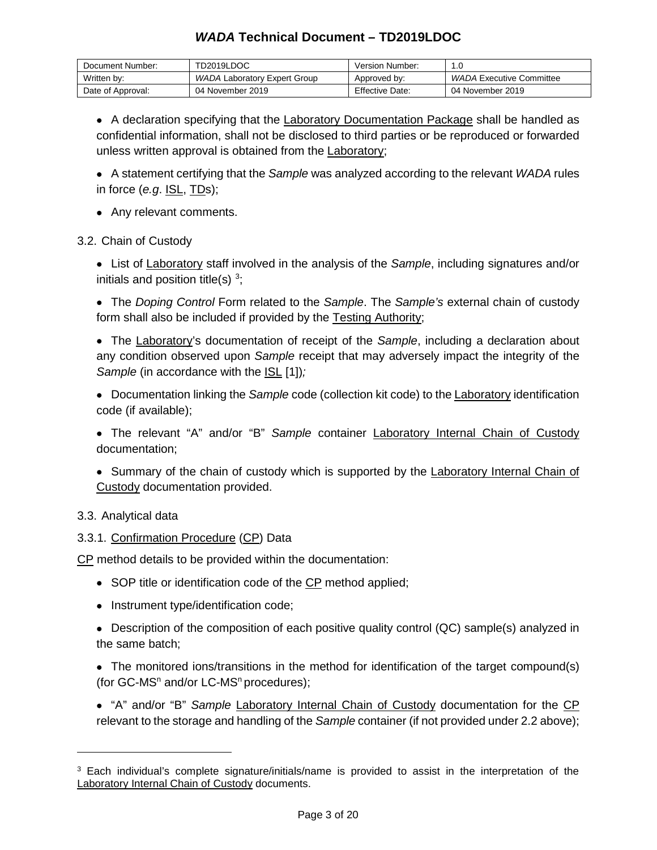| Document Number:  | TD2019LDOC                   | Version Number:        |                          |
|-------------------|------------------------------|------------------------|--------------------------|
| Written by:       | WADA Laboratory Expert Group | Approved by:           | WADA Executive Committee |
| Date of Approval: | 04 November 2019             | <b>Effective Date:</b> | 04 November 2019         |

• A declaration specifying that the Laboratory Documentation Package shall be handled as confidential information, shall not be disclosed to third parties or be reproduced or forwarded unless written approval is obtained from the Laboratory;

• A statement certifying that the *Sample* was analyzed according to the relevant *WADA* rules in force (*e.g*. ISL, TDs);

• Any relevant comments.

3.2. Chain of Custody

• List of Laboratory staff involved in the analysis of the *Sample*, including signatures and/or initials and position title(s)  $3$ ;

• The *Doping Control* Form related to the *Sample*. The *Sample's* external chain of custody form shall also be included if provided by the Testing Authority;

• The Laboratory's documentation of receipt of the *Sample*, including a declaration about any condition observed upon *Sample* receipt that may adversely impact the integrity of the *Sample* (in accordance with the ISL [1]);

• Documentation linking the *Sample* code (collection kit code) to the Laboratory identification code (if available);

• The relevant "A" and/or "B" *Sample* container Laboratory Internal Chain of Custody documentation;

• Summary of the chain of custody which is supported by the Laboratory Internal Chain of Custody documentation provided.

### 3.3. Analytical data

 $\overline{a}$ 

### 3.3.1. Confirmation Procedure (CP) Data

CP method details to be provided within the documentation:

- SOP title or identification code of the CP method applied;
- Instrument type/identification code;
- Description of the composition of each positive quality control (QC) sample(s) analyzed in the same batch;
- The monitored ions/transitions in the method for identification of the target compound(s) (for  $GC$ -MS<sup>n</sup> and/or  $LC$ -MS<sup>n</sup> procedures);
- "A" and/or "B" *Sample* Laboratory Internal Chain of Custody documentation for the CP relevant to the storage and handling of the *Sample* container (if not provided under 2.2 above);

<span id="page-2-0"></span><sup>3</sup> Each individual's complete signature/initials/name is provided to assist in the interpretation of the Laboratory Internal Chain of Custody documents.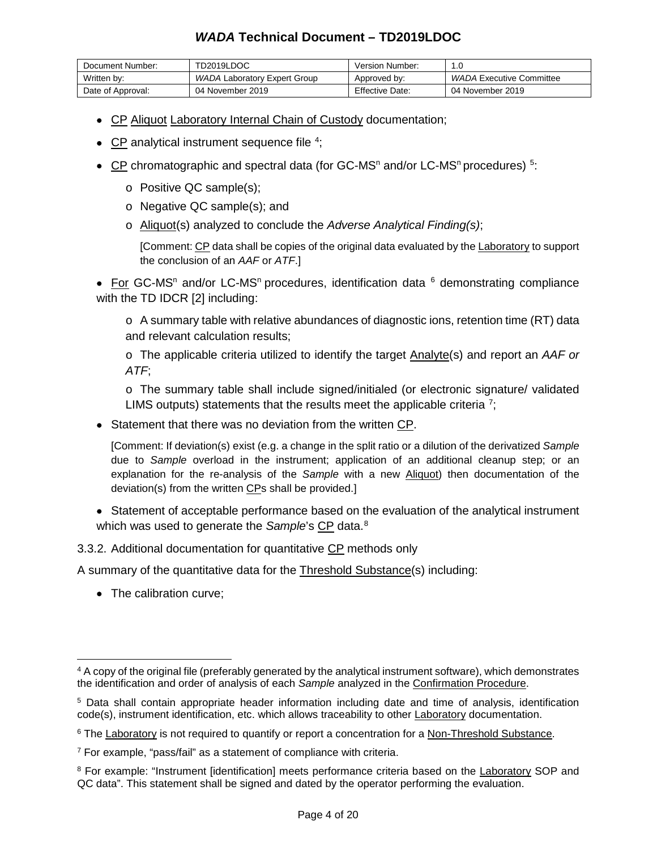| Document Number:  | TD2019LDOC                   | Version Number:        | 1.0                      |
|-------------------|------------------------------|------------------------|--------------------------|
| Written by:       | WADA Laboratory Expert Group | Approved by:           | WADA Executive Committee |
| Date of Approval: | 04 November 2019             | <b>Effective Date:</b> | 04 November 2019         |

- CP Aliquot Laboratory Internal Chain of Custody documentation;
- CP analytical instrument sequence file <sup>[4](#page-3-0)</sup>;
- CP chromatographic and spectral data (for GC-MS<sup>n</sup> and/or LC-MS<sup>n</sup> procedures)<sup>[5](#page-3-1)</sup>:
	- o Positive QC sample(s);
	- o Negative QC sample(s); and
	- o Aliquot(s) analyzed to conclude the *Adverse Analytical Finding(s)*;

[Comment: CP data shall be copies of the original data evaluated by the Laboratory to support the conclusion of an *AAF* or *ATF*.]

• For GC-MS<sup>n</sup> and/or LC-MS<sup>n</sup> procedures, identification data  $6$  demonstrating compliance with the TD IDCR [2] including:

 $\circ$  A summary table with relative abundances of diagnostic ions, retention time (RT) data and relevant calculation results;

o The applicable criteria utilized to identify the target Analyte(s) and report an *AAF or ATF*;

o The summary table shall include signed/initialed (or electronic signature/ validated LIMS outputs) statements that the results meet the applicable criteria  $\frac{7}{5}$  $\frac{7}{5}$  $\frac{7}{5}$ 

• Statement that there was no deviation from the written CP.

[Comment: If deviation(s) exist (e.g. a change in the split ratio or a dilution of the derivatized *Sample* due to *Sample* overload in the instrument; application of an additional cleanup step; or an explanation for the re-analysis of the *Sample* with a new Aliquot) then documentation of the deviation(s) from the written CPs shall be provided.]

• Statement of acceptable performance based on the evaluation of the analytical instrument which was used to generate the Sample's CP data.<sup>[8](#page-3-4)</sup>

3.3.2. Additional documentation for quantitative CP methods only

A summary of the quantitative data for the Threshold Substance(s) including:

• The calibration curve;

<span id="page-3-0"></span> $\overline{a}$ <sup>4</sup> A copy of the original file (preferably generated by the analytical instrument software), which demonstrates the identification and order of analysis of each *Sample* analyzed in the Confirmation Procedure.

<span id="page-3-1"></span><sup>5</sup> Data shall contain appropriate header information including date and time of analysis, identification code(s), instrument identification, etc. which allows traceability to other Laboratory documentation.

<span id="page-3-2"></span><sup>&</sup>lt;sup>6</sup> The Laboratory is not required to quantify or report a concentration for a Non-Threshold Substance.

<span id="page-3-3"></span><sup>7</sup> For example, "pass/fail" as a statement of compliance with criteria.

<span id="page-3-4"></span><sup>8</sup> For example: "Instrument [identification] meets performance criteria based on the Laboratory SOP and QC data". This statement shall be signed and dated by the operator performing the evaluation.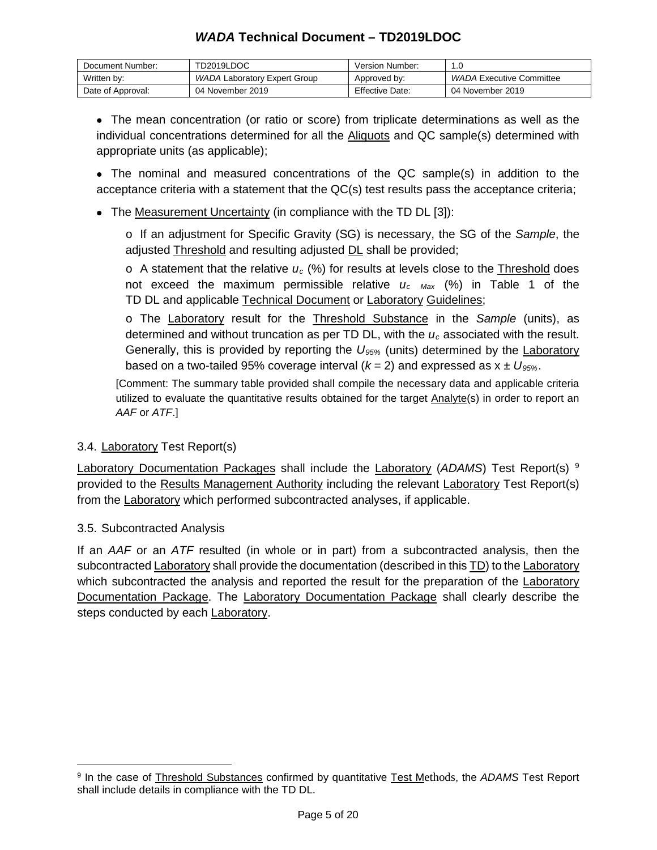| Document Number:  | TD2019LDOC                   | Version Number:        | 1.C                      |
|-------------------|------------------------------|------------------------|--------------------------|
| Written by:       | WADA Laboratory Expert Group | Approved by:           | WADA Executive Committee |
| Date of Approval: | 04 November 2019             | <b>Effective Date:</b> | 04 November 2019         |

• The mean concentration (or ratio or score) from triplicate determinations as well as the individual concentrations determined for all the **Aliquots** and QC sample(s) determined with appropriate units (as applicable);

• The nominal and measured concentrations of the QC sample(s) in addition to the acceptance criteria with a statement that the QC(s) test results pass the acceptance criteria;

• The Measurement Uncertainty (in compliance with the TD DL [3]):

o If an adjustment for Specific Gravity (SG) is necessary, the SG of the *Sample*, the adjusted Threshold and resulting adjusted DL shall be provided;

 $\circ$  A statement that the relative  $u_c$  (%) for results at levels close to the Threshold does not exceed the maximum permissible relative *uc Max* (%) in Table 1 of the TD DL and applicable Technical Document or Laboratory Guidelines;

o The Laboratory result for the Threshold Substance in the *Sample* (units), as determined and without truncation as per TD DL, with the *uc* associated with the result. Generally, this is provided by reporting the *U95%* (units) determined by the Laboratory based on a two-tailed 95% coverage interval  $(k = 2)$  and expressed as  $x \pm U_{95\%}$ .

[Comment: The summary table provided shall compile the necessary data and applicable criteria utilized to evaluate the quantitative results obtained for the target Analyte(s) in order to report an *AAF* or *ATF*.]

### 3.4. Laboratory Test Report(s)

Laboratory Documentation Packages shall include the Laboratory (*ADAMS*) Test Report(s) [9](#page-4-0) provided to the Results Management Authority including the relevant Laboratory Test Report(s) from the Laboratory which performed subcontracted analyses, if applicable.

### 3.5. Subcontracted Analysis

 $\overline{a}$ 

If an *AAF* or an *ATF* resulted (in whole or in part) from a subcontracted analysis, then the subcontracted Laboratory shall provide the documentation (described in this TD) to the Laboratory which subcontracted the analysis and reported the result for the preparation of the Laboratory Documentation Package. The Laboratory Documentation Package shall clearly describe the steps conducted by each **Laboratory**.

<span id="page-4-0"></span><sup>9</sup> In the case of Threshold Substances confirmed by quantitative Test Methods, the *ADAMS* Test Report shall include details in compliance with the TD DL.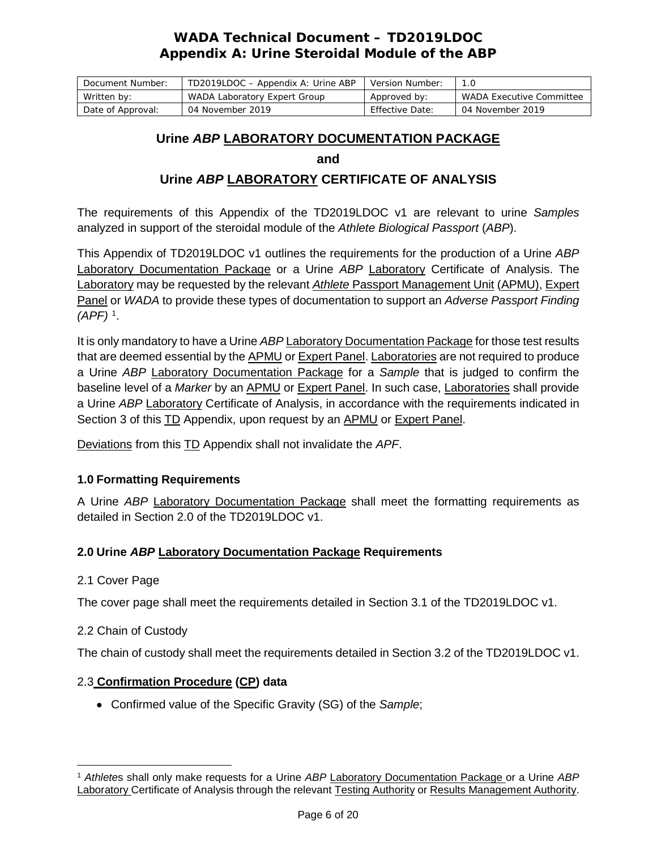| Document Number:  | TD2019LDOC - Appendix A: Urine ABP | Version Number: |                          |
|-------------------|------------------------------------|-----------------|--------------------------|
| Written by:       | WADA Laboratory Expert Group       | Approved by:    | WADA Executive Committee |
| Date of Approval: | 04 November 2019                   | Effective Date: | 04 November 2019         |

### **Urine** *ABP* **LABORATORY DOCUMENTATION PACKAGE**

**and** 

## **Urine** *ABP* **LABORATORY CERTIFICATE OF ANALYSIS**

The requirements of this Appendix of the TD2019LDOC v1 are relevant to urine *Samples* analyzed in support of the steroidal module of the *Athlete Biological Passport* (*ABP*).

This Appendix of TD2019LDOC v1 outlines the requirements for the production of a Urine *ABP* Laboratory Documentation Package or a Urine *ABP* Laboratory Certificate of Analysis. The Laboratory may be requested by the relevant *Athlete* Passport Management Unit (APMU), Expert Panel or *WADA* to provide these types of documentation to support an *Adverse Passport Finding (APF)* [1](#page-5-0) .

It is only mandatory to have a Urine *ABP* Laboratory Documentation Package for those test results that are deemed essential by the APMU or Expert Panel. Laboratories are not required to produce a Urine *ABP* Laboratory Documentation Package for a *Sample* that is judged to confirm the baseline level of a *Marker* by an APMU or Expert Panel. In such case, Laboratories shall provide a Urine *ABP* Laboratory Certificate of Analysis, in accordance with the requirements indicated in Section 3 of this TD Appendix, upon request by an APMU or Expert Panel.

Deviations from this TD Appendix shall not invalidate the *APF*.

### **1.0 Formatting Requirements**

A Urine *ABP* Laboratory Documentation Package shall meet the formatting requirements as detailed in Section 2.0 of the TD2019LDOC v1.

### **2.0 Urine** *ABP* **Laboratory Documentation Package Requirements**

### 2.1 Cover Page

The cover page shall meet the requirements detailed in Section 3.1 of the TD2019LDOC v1.

### 2.2 Chain of Custody

The chain of custody shall meet the requirements detailed in Section 3.2 of the TD2019LDOC v1.

### 2.3 **Confirmation Procedure (CP) data**

• Confirmed value of the Specific Gravity (SG) of the *Sample*;

<span id="page-5-0"></span> $\overline{a}$ <sup>1</sup> *Athlete*s shall only make requests for a Urine *ABP* Laboratory Documentation Package or a Urine *ABP* Laboratory Certificate of Analysis through the relevant Testing Authority or Results Management Authority.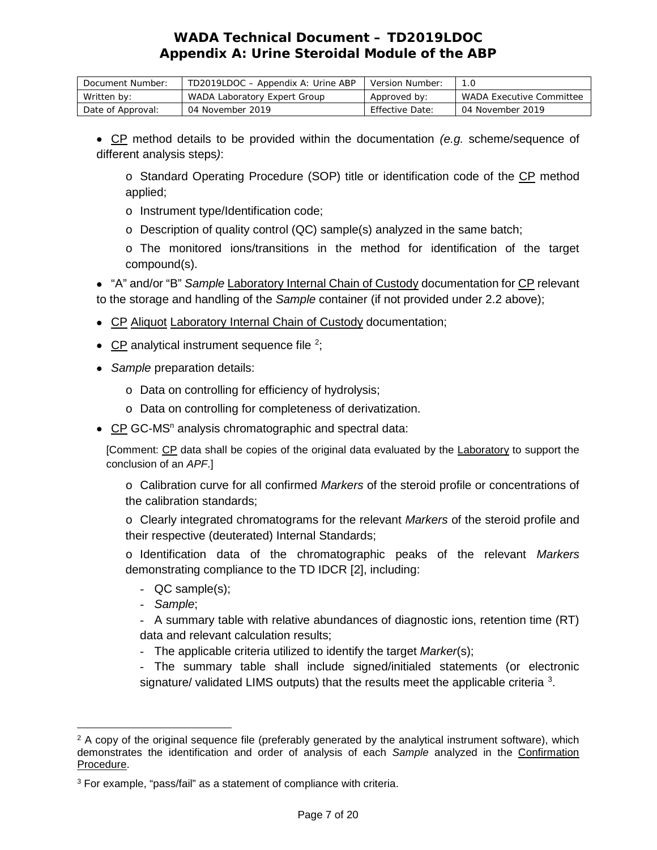| Document Number:  | TD2019LDOC - Appendix A: Urine ABP | Version Number: |                                 |
|-------------------|------------------------------------|-----------------|---------------------------------|
| Written by:       | WADA Laboratory Expert Group       | Approved by:    | <i>WADA</i> Executive Committee |
| Date of Approval: | 04 November 2019                   | Effective Date: | 04 November 2019                |

• CP method details to be provided within the documentation *(e.g.* scheme/sequence of different analysis steps*)*:

o Standard Operating Procedure (SOP) title or identification code of the CP method applied;

- o Instrument type/Identification code;
- o Description of quality control (QC) sample(s) analyzed in the same batch;

o The monitored ions/transitions in the method for identification of the target compound(s).

• "A" and/or "B" *Sample* Laboratory Internal Chain of Custody documentation for CP relevant to the storage and handling of the *Sample* container (if not provided under 2.2 above);

- CP Aliquot Laboratory Internal Chain of Custody documentation;
- CP analytical instrument sequence file  $2$ ;
- *Sample* preparation details:
	- o Data on controlling for efficiency of hydrolysis;
	- o Data on controlling for completeness of derivatization.
- CP GC-MS<sup>n</sup> analysis chromatographic and spectral data:

[Comment: CP data shall be copies of the original data evaluated by the Laboratory to support the conclusion of an *APF*.]

o Calibration curve for all confirmed *Markers* of the steroid profile or concentrations of the calibration standards;

o Clearly integrated chromatograms for the relevant *Markers* of the steroid profile and their respective (deuterated) Internal Standards;

o Identification data of the chromatographic peaks of the relevant *Markers* demonstrating compliance to the TD IDCR [2], including:

- QC sample(s);
- *Sample*;

- A summary table with relative abundances of diagnostic ions, retention time (RT) data and relevant calculation results;

- The applicable criteria utilized to identify the target *Marker*(s);

- The summary table shall include signed/initialed statements (or electronic signature/ validated LIMS outputs) that the results meet the applicable criteria  $3$ .

<span id="page-6-0"></span> $\overline{a}$ <sup>2</sup> A copy of the original sequence file (preferably generated by the analytical instrument software), which demonstrates the identification and order of analysis of each *Sample* analyzed in the Confirmation Procedure.

<span id="page-6-1"></span><sup>3</sup> For example, "pass/fail" as a statement of compliance with criteria.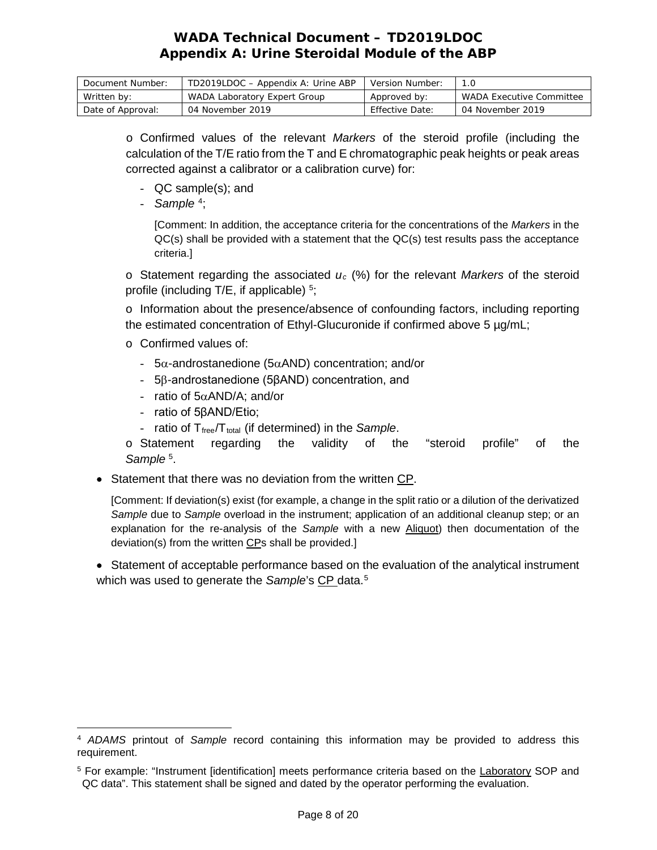| Document Number:  | TD2019LDOC - Appendix A: Urine ABP | Version Number: |                                 |
|-------------------|------------------------------------|-----------------|---------------------------------|
| Written by:       | WADA Laboratory Expert Group       | Approved by:    | <i>WADA</i> Executive Committee |
| Date of Approval: | 04 November 2019                   | Effective Date: | 04 November 2019                |

o Confirmed values of the relevant *Markers* of the steroid profile (including the calculation of the T/E ratio from the T and E chromatographic peak heights or peak areas corrected against a calibrator or a calibration curve) for:

- QC sample(s); and
- *Sample* [4](#page-7-0) ;

[Comment: In addition, the acceptance criteria for the concentrations of the *Markers* in the QC(s) shall be provided with a statement that the QC(s) test results pass the acceptance criteria.]

 $\circ$  Statement regarding the associated  $u_c$  (%) for the relevant *Markers* of the steroid profile (including  $T/E$ , if applicable)  $5$ ;

o Information about the presence/absence of confounding factors, including reporting the estimated concentration of Ethyl-Glucuronide if confirmed above 5 µg/mL;

- o Confirmed values of:
	- 5α-androstanedione (5αAND) concentration; and/or
	- 5β-androstanedione (5βAND) concentration, and
	- ratio of 5αAND/A; and/or
	- ratio of 5βAND/Etio;
	- ratio of T<sub>free</sub>/T<sub>total</sub> (if determined) in the *Sample*.

o Statement regarding the validity of the "steroid profile" of the Sample<sup>5</sup>.

• Statement that there was no deviation from the written CP.

[Comment: If deviation(s) exist (for example, a change in the split ratio or a dilution of the derivatized *Sample* due to *Sample* overload in the instrument; application of an additional cleanup step; or an explanation for the re-analysis of the *Sample* with a new Aliquot) then documentation of the deviation(s) from the written CPs shall be provided.]

• Statement of acceptable performance based on the evaluation of the analytical instrument which was used to generate the *Sample*'s CP data.<sup>[5](#page-7-1)</sup>

<span id="page-7-0"></span> $\overline{a}$ <sup>4</sup> *ADAMS* printout of *Sample* record containing this information may be provided to address this requirement.

<span id="page-7-1"></span><sup>5</sup> For example: "Instrument [identification] meets performance criteria based on the Laboratory SOP and QC data". This statement shall be signed and dated by the operator performing the evaluation.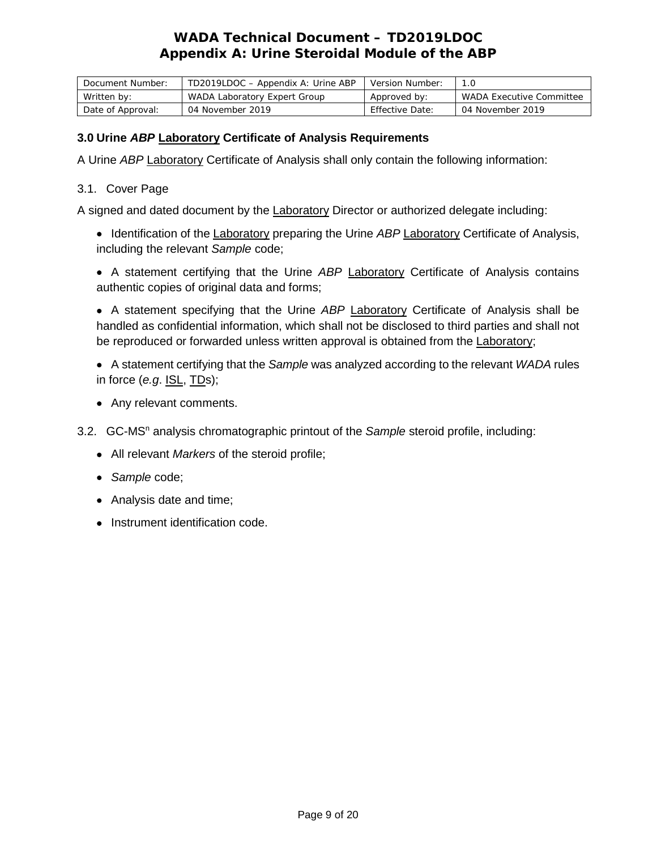| Document Number:  | TD2019LDOC - Appendix A: Urine ABP | Version Number: |                                 |
|-------------------|------------------------------------|-----------------|---------------------------------|
| Written by:       | WADA Laboratory Expert Group       | Approved by:    | <i>WADA</i> Executive Committee |
| Date of Approval: | 04 November 2019                   | Effective Date: | 04 November 2019                |

### **3.0 Urine** *ABP* **Laboratory Certificate of Analysis Requirements**

A Urine *ABP* Laboratory Certificate of Analysis shall only contain the following information:

### 3.1. Cover Page

A signed and dated document by the Laboratory Director or authorized delegate including:

- Identification of the Laboratory preparing the Urine *ABP* Laboratory Certificate of Analysis, including the relevant *Sample* code;
- A statement certifying that the Urine *ABP* Laboratory Certificate of Analysis contains authentic copies of original data and forms;

• A statement specifying that the Urine *ABP* Laboratory Certificate of Analysis shall be handled as confidential information, which shall not be disclosed to third parties and shall not be reproduced or forwarded unless written approval is obtained from the Laboratory;

- A statement certifying that the *Sample* was analyzed according to the relevant *WADA* rules in force (*e.g*. ISL, TDs);
- Any relevant comments.
- 3.2. GC-MS<sup>n</sup> analysis chromatographic printout of the *Sample* steroid profile, including:
	- All relevant *Markers* of the steroid profile;
	- *Sample* code;
	- Analysis date and time;
	- Instrument identification code.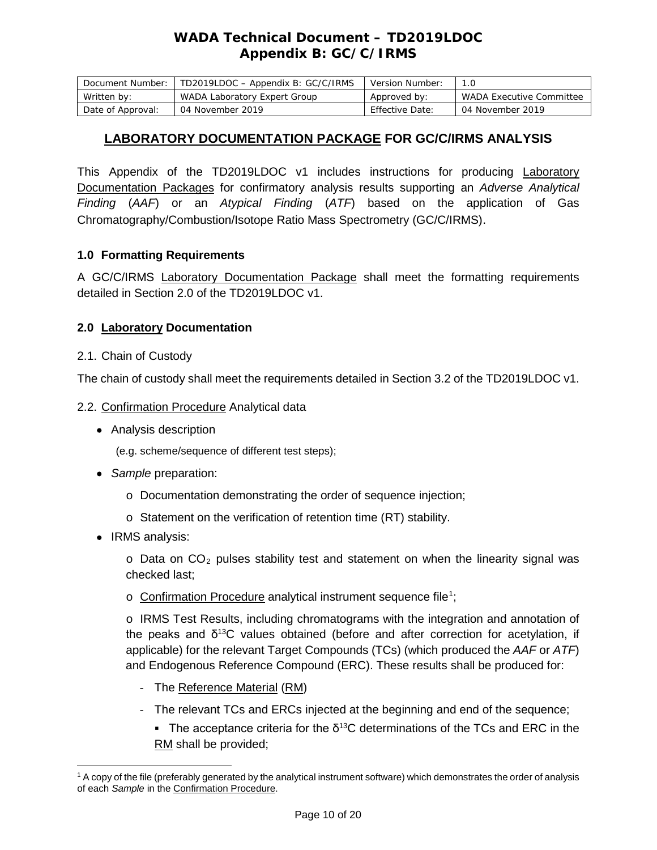## *WADA* **Technical Document – TD2019LDOC Appendix B: GC/C/IRMS**

| Document Number:  | TD2019LDOC - Appendix B: GC/C/IRMS | Version Number: |                          |
|-------------------|------------------------------------|-----------------|--------------------------|
| Written by:       | WADA Laboratory Expert Group       | Approved by:    | WADA Executive Committee |
| Date of Approval: | 04 November 2019                   | Effective Date: | 04 November 2019         |

### **LABORATORY DOCUMENTATION PACKAGE FOR GC/C/IRMS ANALYSIS**

This Appendix of the TD2019LDOC v1 includes instructions for producing Laboratory Documentation Packages for confirmatory analysis results supporting an *Adverse Analytical Finding* (*AAF*) or an *Atypical Finding* (*ATF*) based on the application of Gas Chromatography/Combustion/Isotope Ratio Mass Spectrometry (GC/C/IRMS).

### **1.0 Formatting Requirements**

A GC/C/IRMS **Laboratory Documentation Package** shall meet the formatting requirements detailed in Section 2.0 of the TD2019LDOC v1.

### **2.0 Laboratory Documentation**

### 2.1. Chain of Custody

The chain of custody shall meet the requirements detailed in Section 3.2 of the TD2019LDOC v1.

### 2.2. Confirmation Procedure Analytical data

• Analysis description

(e.g. scheme/sequence of different test steps);

- *Sample* preparation:
	- o Documentation demonstrating the order of sequence injection;
	- o Statement on the verification of retention time (RT) stability.
- IRMS analysis:

 $\circ$  Data on CO<sub>2</sub> pulses stability test and statement on when the linearity signal was checked last;

o Confirmation Procedure analytical instrument sequence file<sup>[1](#page-9-0)</sup>;

o IRMS Test Results, including chromatograms with the integration and annotation of the peaks and  $\delta^{13}$ C values obtained (before and after correction for acetylation, if applicable) for the relevant Target Compounds (TCs) (which produced the *AAF* or *ATF*) and Endogenous Reference Compound (ERC). These results shall be produced for:

- The Reference Material (RM)
- The relevant TCs and ERCs injected at the beginning and end of the sequence;
	- The acceptance criteria for the  $\delta^{13}$ C determinations of the TCs and ERC in the RM shall be provided;

<span id="page-9-0"></span> $\overline{a}$ <sup>1</sup> A copy of the file (preferably generated by the analytical instrument software) which demonstrates the order of analysis of each *Sample* in the Confirmation Procedure.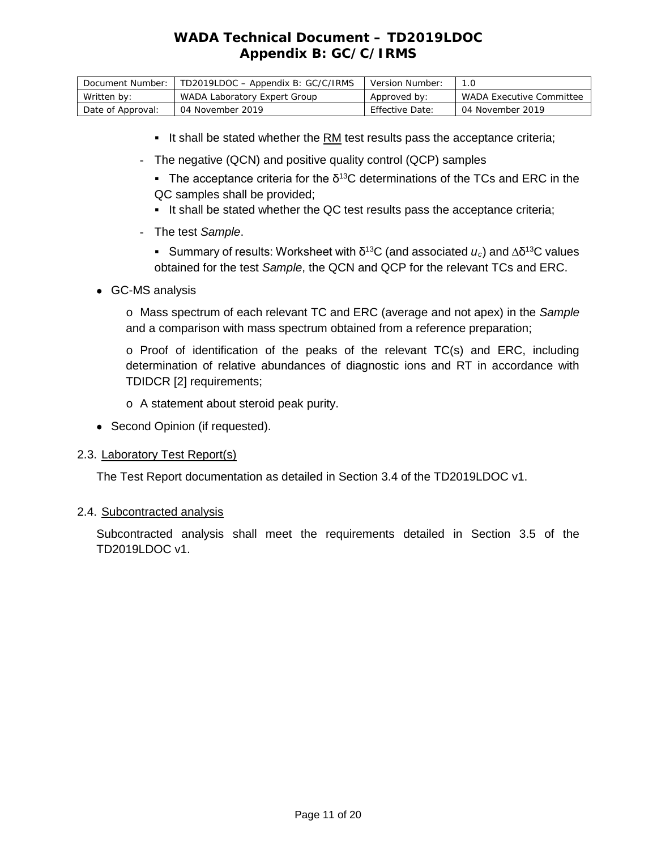# *WADA* **Technical Document – TD2019LDOC Appendix B: GC/C/IRMS**

| Document Number:  | TD2019LDOC - Appendix B: GC/C/IRMS | Version Number: | 1.0                             |
|-------------------|------------------------------------|-----------------|---------------------------------|
| Written by:       | WADA Laboratory Expert Group       | Approved by:    | <i>WADA</i> Executive Committee |
| Date of Approval: | 04 November 2019                   | Effective Date: | 04 November 2019                |

- It shall be stated whether the RM test results pass the acceptance criteria;
- The negative (QCN) and positive quality control (QCP) samples
	- The acceptance criteria for the  $\delta^{13}$ C determinations of the TCs and ERC in the QC samples shall be provided;
	- It shall be stated whether the QC test results pass the acceptance criteria;
- The test *Sample*.
	- Summary of results: Worksheet with δ13C (and associated *uc*) and ∆δ13C values obtained for the test *Sample*, the QCN and QCP for the relevant TCs and ERC.
- GC-MS analysis

o Mass spectrum of each relevant TC and ERC (average and not apex) in the *Sample* and a comparison with mass spectrum obtained from a reference preparation;

- $\circ$  Proof of identification of the peaks of the relevant TC(s) and ERC, including determination of relative abundances of diagnostic ions and RT in accordance with TDIDCR [2] requirements;
- o A statement about steroid peak purity.
- Second Opinion (if requested).

#### 2.3. Laboratory Test Report(s)

The Test Report documentation as detailed in Section 3.4 of the TD2019LDOC v1.

#### 2.4. Subcontracted analysis

Subcontracted analysis shall meet the requirements detailed in Section 3.5 of the TD2019LDOC v1.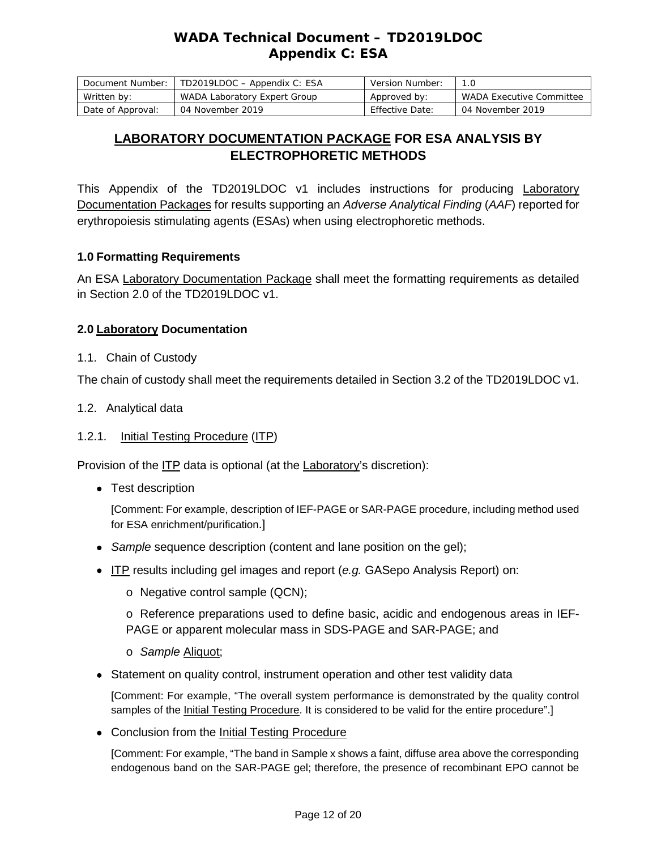# *WADA* **Technical Document – TD2019LDOC Appendix C: ESA**

| Document Number:  | TD2019LDOC - Appendix C: ESA | Version Number:        | 1.0                      |
|-------------------|------------------------------|------------------------|--------------------------|
| Written by:       | WADA Laboratory Expert Group | Approved by:           | WADA Executive Committee |
| Date of Approval: | 04 November 2019             | <b>Effective Date:</b> | 04 November 2019         |

# **LABORATORY DOCUMENTATION PACKAGE FOR ESA ANALYSIS BY ELECTROPHORETIC METHODS**

This Appendix of the TD2019LDOC v1 includes instructions for producing Laboratory Documentation Packages for results supporting an *Adverse Analytical Finding* (*AAF*) reported for erythropoiesis stimulating agents (ESAs) when using electrophoretic methods.

### **1.0 Formatting Requirements**

An ESA Laboratory Documentation Package shall meet the formatting requirements as detailed in Section 2.0 of the TD2019LDOC v1.

### **2.0 Laboratory Documentation**

1.1. Chain of Custody

The chain of custody shall meet the requirements detailed in Section 3.2 of the TD2019LDOC v1.

1.2. Analytical data

### 1.2.1. Initial Testing Procedure (ITP)

Provision of the ITP data is optional (at the Laboratory's discretion):

• Test description

[Comment: For example, description of IEF-PAGE or SAR-PAGE procedure, including method used for ESA enrichment/purification.]

- *Sample* sequence description (content and lane position on the gel);
- ITP results including gel images and report (*e.g.* GASepo Analysis Report) on:
	- o Negative control sample (QCN);

o Reference preparations used to define basic, acidic and endogenous areas in IEF-PAGE or apparent molecular mass in SDS-PAGE and SAR-PAGE; and

- o *Sample* Aliquot;
- Statement on quality control, instrument operation and other test validity data

[Comment: For example, "The overall system performance is demonstrated by the quality control samples of the Initial Testing Procedure. It is considered to be valid for the entire procedure".]

• Conclusion from the Initial Testing Procedure

[Comment: For example, "The band in Sample x shows a faint, diffuse area above the corresponding endogenous band on the SAR-PAGE gel; therefore, the presence of recombinant EPO cannot be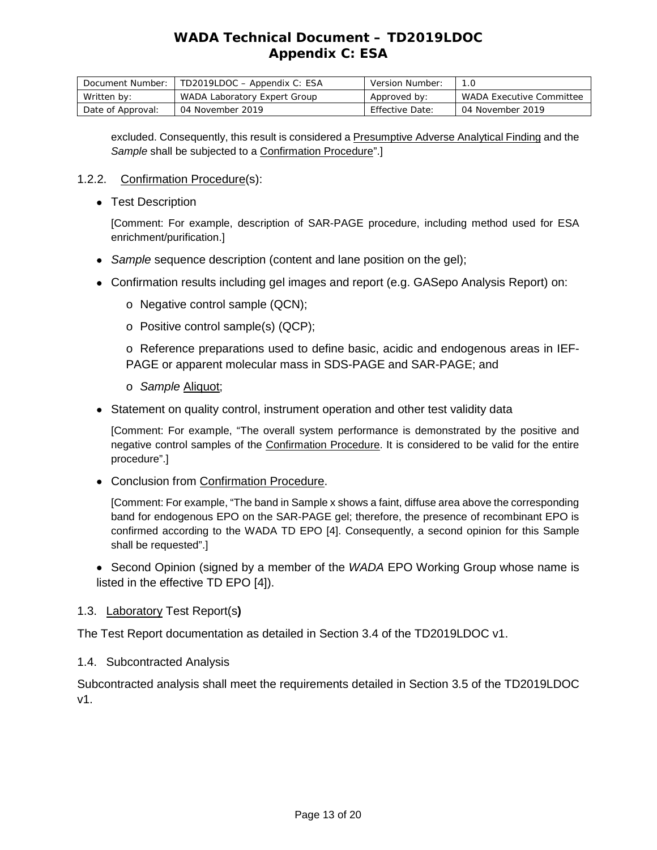# *WADA* **Technical Document – TD2019LDOC Appendix C: ESA**

| Document Number:  | TD2019LDOC - Appendix C: ESA | Version Number: |                                 |
|-------------------|------------------------------|-----------------|---------------------------------|
| Written by:       | WADA Laboratory Expert Group | Approved by:    | <i>WADA</i> Executive Committee |
| Date of Approval: | 04 November 2019             | Effective Date: | 04 November 2019                |

excluded. Consequently, this result is considered a Presumptive Adverse Analytical Finding and the *Sample* shall be subjected to a Confirmation Procedure".]

### 1.2.2. Confirmation Procedure(s):

• Test Description

[Comment: For example, description of SAR-PAGE procedure, including method used for ESA enrichment/purification.]

- *Sample* sequence description (content and lane position on the gel);
- Confirmation results including gel images and report (e.g. GASepo Analysis Report) on:
	- o Negative control sample (QCN);
	- o Positive control sample(s) (QCP);

o Reference preparations used to define basic, acidic and endogenous areas in IEF-PAGE or apparent molecular mass in SDS-PAGE and SAR-PAGE; and

- o *Sample* Aliquot;
- Statement on quality control, instrument operation and other test validity data

[Comment: For example, "The overall system performance is demonstrated by the positive and negative control samples of the Confirmation Procedure. It is considered to be valid for the entire procedure".]

• Conclusion from Confirmation Procedure.

[Comment: For example, "The band in Sample x shows a faint, diffuse area above the corresponding band for endogenous EPO on the SAR-PAGE gel; therefore, the presence of recombinant EPO is confirmed according to the WADA TD EPO [4]. Consequently, a second opinion for this Sample shall be requested".]

• Second Opinion (signed by a member of the *WADA* EPO Working Group whose name is listed in the effective TD EPO [4]).

### 1.3. Laboratory Test Report(s**)**

The Test Report documentation as detailed in Section 3.4 of the TD2019LDOC v1.

1.4. Subcontracted Analysis

Subcontracted analysis shall meet the requirements detailed in Section 3.5 of the TD2019LDOC v1.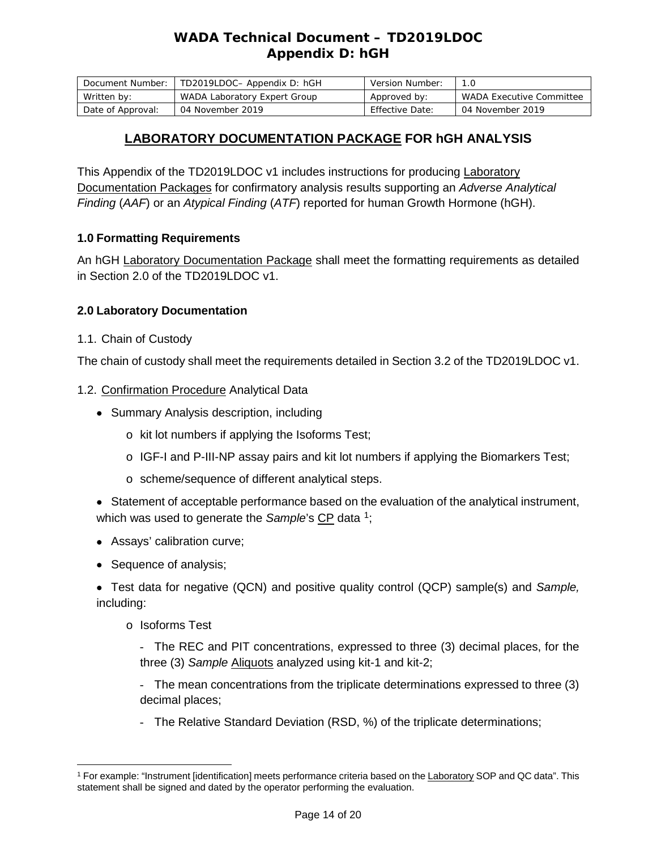# *WADA* **Technical Document – TD2019LDOC Appendix D: hGH**

| Document Number:  | TD2019LDOC- Appendix D: hGH  | Version Number: |                                 |
|-------------------|------------------------------|-----------------|---------------------------------|
| Written by:       | WADA Laboratory Expert Group | Approved by:    | <i>WADA</i> Executive Committee |
| Date of Approval: | 04 November 2019             | Effective Date: | 04 November 2019                |

## **LABORATORY DOCUMENTATION PACKAGE FOR hGH ANALYSIS**

This Appendix of the TD2019LDOC v1 includes instructions for producing Laboratory Documentation Packages for confirmatory analysis results supporting an *Adverse Analytical Finding* (*AAF*) or an *Atypical Finding* (*ATF*) reported for human Growth Hormone (hGH).

### **1.0 Formatting Requirements**

An hGH Laboratory Documentation Package shall meet the formatting requirements as detailed in Section 2.0 of the TD2019LDOC v1.

### **2.0 Laboratory Documentation**

1.1. Chain of Custody

The chain of custody shall meet the requirements detailed in Section 3.2 of the TD2019LDOC v1.

### 1.2. Confirmation Procedure Analytical Data

- Summary Analysis description, including
	- o kit lot numbers if applying the Isoforms Test;
	- $\circ$  IGF-I and P-III-NP assay pairs and kit lot numbers if applying the Biomarkers Test;
	- o scheme/sequence of different analytical steps.
- Statement of acceptable performance based on the evaluation of the analytical instrument, which was used to generate the *Sample*'s CP data <sup>1</sup>;
- Assays' calibration curve;
- Sequence of analysis;

• Test data for negative (QCN) and positive quality control (QCP) sample(s) and *Sample,* including:

o Isoforms Test

- The REC and PIT concentrations, expressed to three (3) decimal places, for the three (3) *Sample* Aliquots analyzed using kit-1 and kit-2;

- The mean concentrations from the triplicate determinations expressed to three (3) decimal places;

- The Relative Standard Deviation (RSD, %) of the triplicate determinations;

<span id="page-13-0"></span> $\overline{a}$ <sup>1</sup> For example: "Instrument [identification] meets performance criteria based on the Laboratory SOP and QC data". This statement shall be signed and dated by the operator performing the evaluation.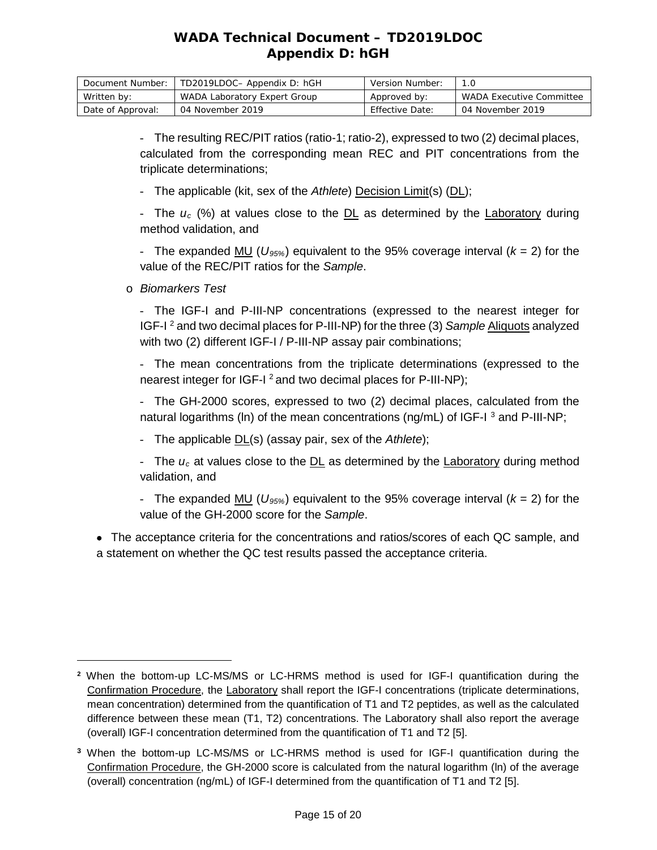# *WADA* **Technical Document – TD2019LDOC Appendix D: hGH**

| Document Number:  | TD2019LDOC- Appendix D: hGH  | Version Number:        |                                 |
|-------------------|------------------------------|------------------------|---------------------------------|
| Written by:       | WADA Laboratory Expert Group | Approved by:           | <i>WADA</i> Executive Committee |
| Date of Approval: | 04 November 2019             | <b>Effective Date:</b> | 04 November 2019                |

- The resulting REC/PIT ratios (ratio-1; ratio-2), expressed to two (2) decimal places, calculated from the corresponding mean REC and PIT concentrations from the triplicate determinations;

- The applicable (kit, sex of the *Athlete*) Decision Limit(s) (DL);

- The  $u_c$  (%) at values close to the DL as determined by the Laboratory during method validation, and

- The expanded MU (*U95%*) equivalent to the 95% coverage interval (*k* = 2) for the value of the REC/PIT ratios for the *Sample*.

o *Biomarkers Test*

 $\overline{a}$ 

- The IGF-I and P-III-NP concentrations (expressed to the nearest integer for IGF-I [2](#page-14-0) and two decimal places for P-III-NP) for the three (3) *Sample* Aliquots analyzed with two (2) different IGF-I / P-III-NP assay pair combinations;

- The mean concentrations from the triplicate determinations (expressed to the nearest integer for IGF-I<sup>2</sup> and two decimal places for P-III-NP);

- The GH-2000 scores, expressed to two (2) decimal places, calculated from the natural logarithms (In) of the mean concentrations (ng/mL) of IGF-I <sup>[3](#page-14-1)</sup> and P-III-NP;

- The applicable DL(s) (assay pair, sex of the *Athlete*);

- The *uc* at values close to the DL as determined by the Laboratory during method validation, and

- The expanded MU (*U95%*) equivalent to the 95% coverage interval (*k* = 2) for the value of the GH-2000 score for the *Sample*.

• The acceptance criteria for the concentrations and ratios/scores of each QC sample, and a statement on whether the QC test results passed the acceptance criteria.

<span id="page-14-0"></span>**<sup>2</sup>** When the bottom-up LC-MS/MS or LC-HRMS method is used for IGF-I quantification during the Confirmation Procedure, the Laboratory shall report the IGF-I concentrations (triplicate determinations, mean concentration) determined from the quantification of T1 and T2 peptides, as well as the calculated difference between these mean (T1, T2) concentrations. The Laboratory shall also report the average (overall) IGF-I concentration determined from the quantification of T1 and T2 [5].

<span id="page-14-1"></span>**<sup>3</sup>** When the bottom-up LC-MS/MS or LC-HRMS method is used for IGF-I quantification during the Confirmation Procedure, the GH-2000 score is calculated from the natural logarithm (ln) of the average (overall) concentration (ng/mL) of IGF-I determined from the quantification of T1 and T2 [5].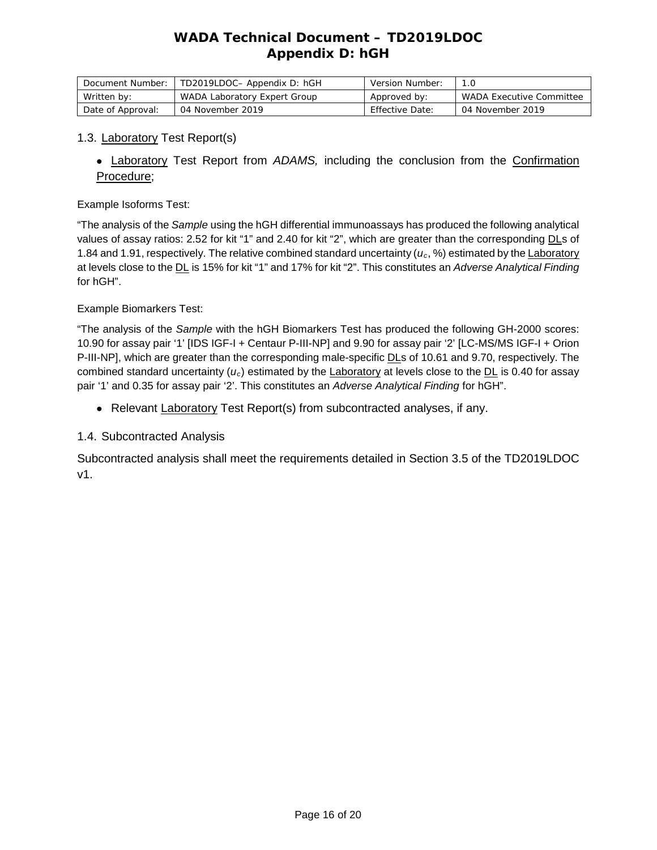# *WADA* **Technical Document – TD2019LDOC Appendix D: hGH**

| Document Number:  | TD2019LDOC- Appendix D: hGH  | Version Number:        |                                 |
|-------------------|------------------------------|------------------------|---------------------------------|
| Written by:       | WADA Laboratory Expert Group | Approved by:           | <i>WADA</i> Executive Committee |
| Date of Approval: | 04 November 2019             | <b>Effective Date:</b> | 04 November 2019                |

#### 1.3. Laboratory Test Report(s)

• Laboratory Test Report from *ADAMS,* including the conclusion from the Confirmation Procedure;

#### Example Isoforms Test:

"The analysis of the *Sample* using the hGH differential immunoassays has produced the following analytical values of assay ratios: 2.52 for kit "1" and 2.40 for kit "2", which are greater than the corresponding DLs of 1.84 and 1.91, respectively. The relative combined standard uncertainty (*uc*, %) estimated by the Laboratory at levels close to the DL is 15% for kit "1" and 17% for kit "2". This constitutes an *Adverse Analytical Finding* for hGH".

#### Example Biomarkers Test:

"The analysis of the *Sample* with the hGH Biomarkers Test has produced the following GH-2000 scores: 10.90 for assay pair '1' [IDS IGF-I + Centaur P-III-NP] and 9.90 for assay pair '2' [LC-MS/MS IGF-I + Orion P-III-NP], which are greater than the corresponding male-specific DLs of 10.61 and 9.70, respectively. The combined standard uncertainty (*uc*) estimated by the Laboratory at levels close to the DL is 0.40 for assay pair '1' and 0.35 for assay pair '2'. This constitutes an *Adverse Analytical Finding* for hGH".

• Relevant Laboratory Test Report(s) from subcontracted analyses, if any.

#### 1.4. Subcontracted Analysis

Subcontracted analysis shall meet the requirements detailed in Section 3.5 of the TD2019LDOC v1.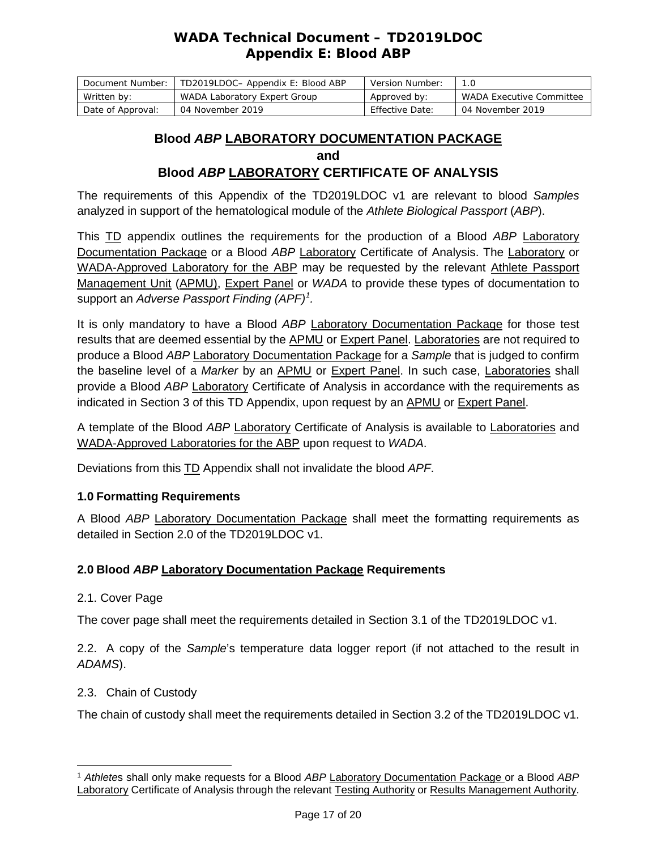## *WADA* **Technical Document – TD2019LDOC Appendix E: Blood** *ABP*

| Document Number:  | TD2019LDOC- Appendix E: Blood ABP | Version Number: |                                 |
|-------------------|-----------------------------------|-----------------|---------------------------------|
| Written by:       | WADA Laboratory Expert Group      | Approved by:    | <i>WADA</i> Executive Committee |
| Date of Approval: | 04 November 2019                  | Effective Date: | 04 November 2019                |

## **Blood** *ABP* **LABORATORY DOCUMENTATION PACKAGE and Blood** *ABP* **LABORATORY CERTIFICATE OF ANALYSIS**

The requirements of this Appendix of the TD2019LDOC v1 are relevant to blood *Samples* analyzed in support of the hematological module of the *Athlete Biological Passport* (*ABP*).

This TD appendix outlines the requirements for the production of a Blood *ABP* Laboratory Documentation Package or a Blood *ABP* Laboratory Certificate of Analysis. The Laboratory or WADA-Approved Laboratory for the ABP may be requested by the relevant Athlete Passport Management Unit (APMU), Expert Panel or *WADA* to provide these types of documentation to support an *Adverse Passport Finding (APF)[1](#page-16-0) .* 

It is only mandatory to have a Blood *ABP* Laboratory Documentation Package for those test results that are deemed essential by the APMU or Expert Panel. Laboratories are not required to produce a Blood *ABP* Laboratory Documentation Package for a *Sample* that is judged to confirm the baseline level of a *Marker* by an APMU or Expert Panel. In such case, Laboratories shall provide a Blood *ABP* Laboratory Certificate of Analysis in accordance with the requirements as indicated in Section 3 of this TD Appendix, upon request by an APMU or Expert Panel.

A template of the Blood *ABP* Laboratory Certificate of Analysis is available to Laboratories and WADA-Approved Laboratories for the ABP upon request to *WADA*.

Deviations from this TD Appendix shall not invalidate the blood *APF*.

### **1.0 Formatting Requirements**

A Blood *ABP* Laboratory Documentation Package shall meet the formatting requirements as detailed in Section 2.0 of the TD2019LDOC v1.

### **2.0 Blood** *ABP* **Laboratory Documentation Package Requirements**

2.1. Cover Page

The cover page shall meet the requirements detailed in Section 3.1 of the TD2019LDOC v1.

2.2. A copy of the *Sample*'s temperature data logger report (if not attached to the result in *ADAMS*).

2.3. Chain of Custody

The chain of custody shall meet the requirements detailed in Section 3.2 of the TD2019LDOC v1.

<span id="page-16-0"></span> $\overline{a}$ <sup>1</sup> *Athlete*s shall only make requests for a Blood *ABP* Laboratory Documentation Package or a Blood *ABP* Laboratory Certificate of Analysis through the relevant Testing Authority or Results Management Authority.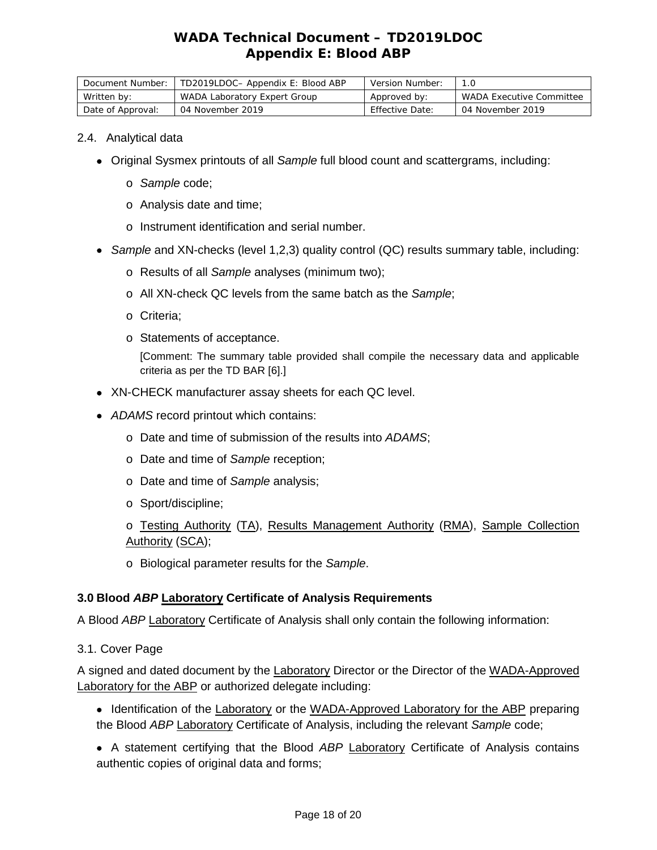# *WADA* **Technical Document – TD2019LDOC Appendix E: Blood** *ABP*

| Document Number:  | TD2019LDOC- Appendix E: Blood ABP | Version Number:        |                          |
|-------------------|-----------------------------------|------------------------|--------------------------|
| Written by:       | WADA Laboratory Expert Group      | Approved by:           | WADA Executive Committee |
| Date of Approval: | 04 November 2019                  | <b>Effective Date:</b> | 04 November 2019         |

#### 2.4. Analytical data

- Original Sysmex printouts of all *Sample* full blood count and scattergrams, including:
	- o *Sample* code;
	- o Analysis date and time;
	- o Instrument identification and serial number.
- *Sample* and XN-checks (level 1,2,3) quality control (QC) results summary table, including:
	- o Results of all *Sample* analyses (minimum two);
	- o All XN-check QC levels from the same batch as the *Sample*;
	- o Criteria;
	- o Statements of acceptance.

[Comment: The summary table provided shall compile the necessary data and applicable criteria as per the TD BAR [6].]

- XN-CHECK manufacturer assay sheets for each QC level.
- *ADAMS* record printout which contains:
	- o Date and time of submission of the results into *ADAMS*;
	- o Date and time of *Sample* reception;
	- o Date and time of *Sample* analysis;
	- o Sport/discipline;

o Testing Authority (TA), Results Management Authority (RMA), Sample Collection Authority (SCA);

o Biological parameter results for the *Sample*.

### **3.0 Blood** *ABP* **Laboratory Certificate of Analysis Requirements**

A Blood *ABP* Laboratory Certificate of Analysis shall only contain the following information:

### 3.1. Cover Page

A signed and dated document by the Laboratory Director or the Director of the WADA-Approved Laboratory for the ABP or authorized delegate including:

- Identification of the Laboratory or the WADA-Approved Laboratory for the ABP preparing the Blood *ABP* Laboratory Certificate of Analysis, including the relevant *Sample* code;
- A statement certifying that the Blood *ABP* Laboratory Certificate of Analysis contains authentic copies of original data and forms;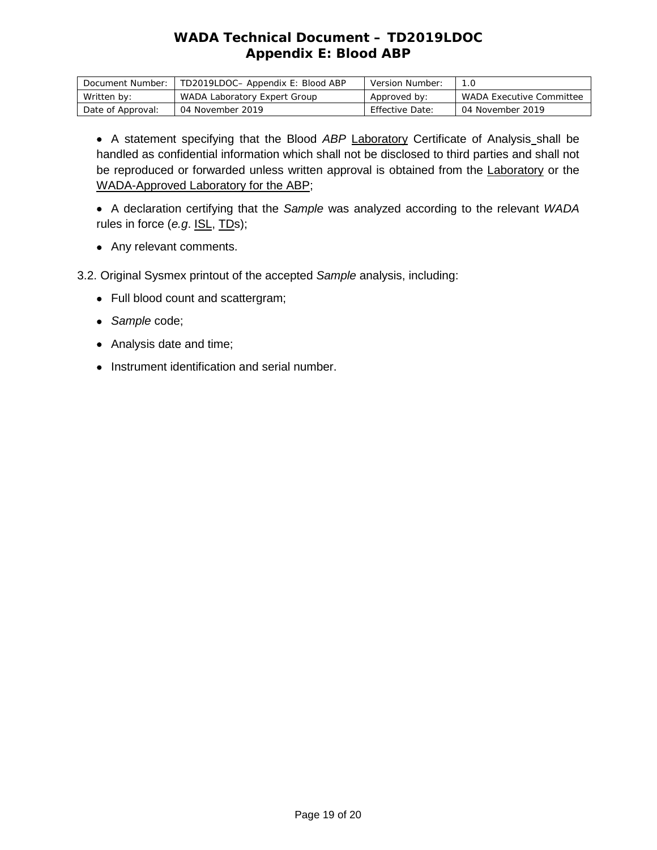# *WADA* **Technical Document – TD2019LDOC Appendix E: Blood** *ABP*

| Document Number:  | TD2019LDOC- Appendix E: Blood ABP | Version Number: |                                 |
|-------------------|-----------------------------------|-----------------|---------------------------------|
| Written by:       | WADA Laboratory Expert Group      | Approved by:    | <i>WADA</i> Executive Committee |
| Date of Approval: | 04 November 2019                  | Effective Date: | 04 November 2019                |

• A statement specifying that the Blood *ABP* Laboratory Certificate of Analysis shall be handled as confidential information which shall not be disclosed to third parties and shall not be reproduced or forwarded unless written approval is obtained from the Laboratory or the WADA-Approved Laboratory for the ABP;

• A declaration certifying that the *Sample* was analyzed according to the relevant *WADA* rules in force (*e.g*. ISL, TDs);

• Any relevant comments.

3.2. Original Sysmex printout of the accepted *Sample* analysis, including:

- Full blood count and scattergram;
- *Sample* code;
- Analysis date and time;
- Instrument identification and serial number.